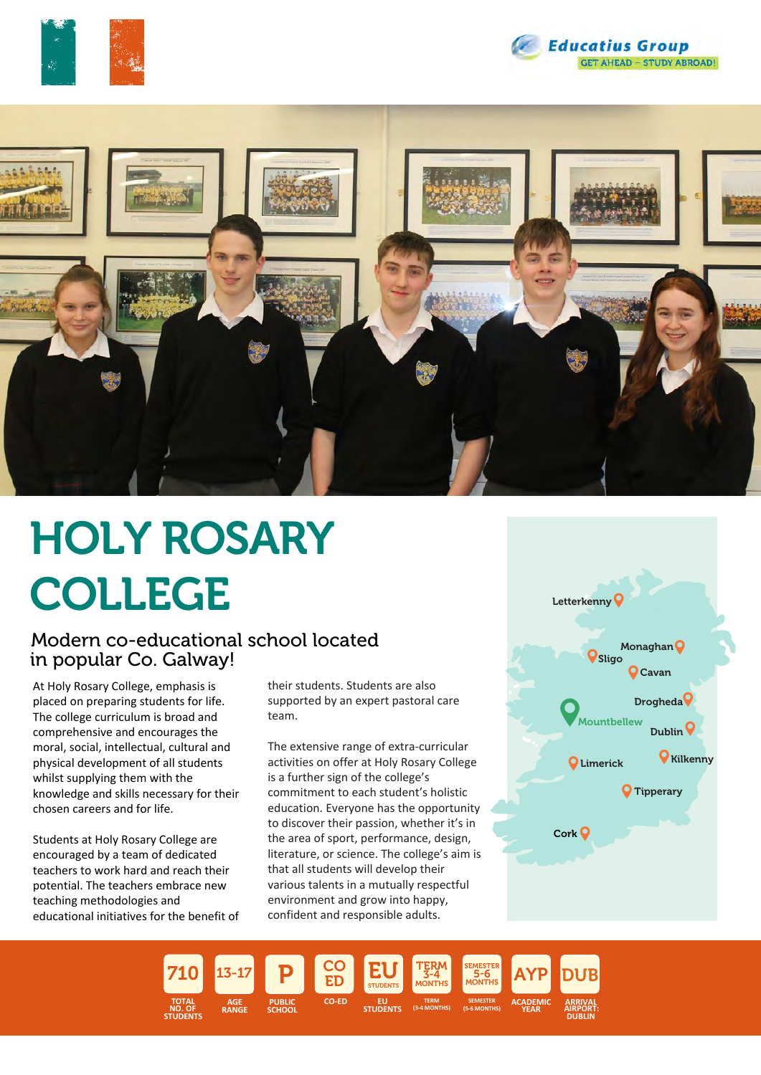





# HOLY ROSARY COLLEGE

#### Modern co-educational school located in popular Co. Galway!

At Holy Rosary College, emphasis is placed on preparing students for life. The college curriculum is broad and comprehensive and encourages the moral, social, intellectual, cultural and physical development of all students whilst supplying them with the knowledge and skills necessary for their chosen careers and for life.

Students at Holy Rosary College are encouraged by a team of dedicated teachers to work hard and reach their potential. The teachers embrace new teaching methodologies and educational initiatives for the benefit of their students. Students are also supported by an expert pastoral care team.

The extensive range of extra-curricular activities on offer at Holy Rosary College is a further sign of the college's commitment to each student's holistic education. Everyone has the opportunity to discover their passion, whether it's in the area of sport, performance, design, literature, or science. The college's aim is that all students will develop their various talents in a mutually respectful environment and grow into happy, confident and responsible adults.



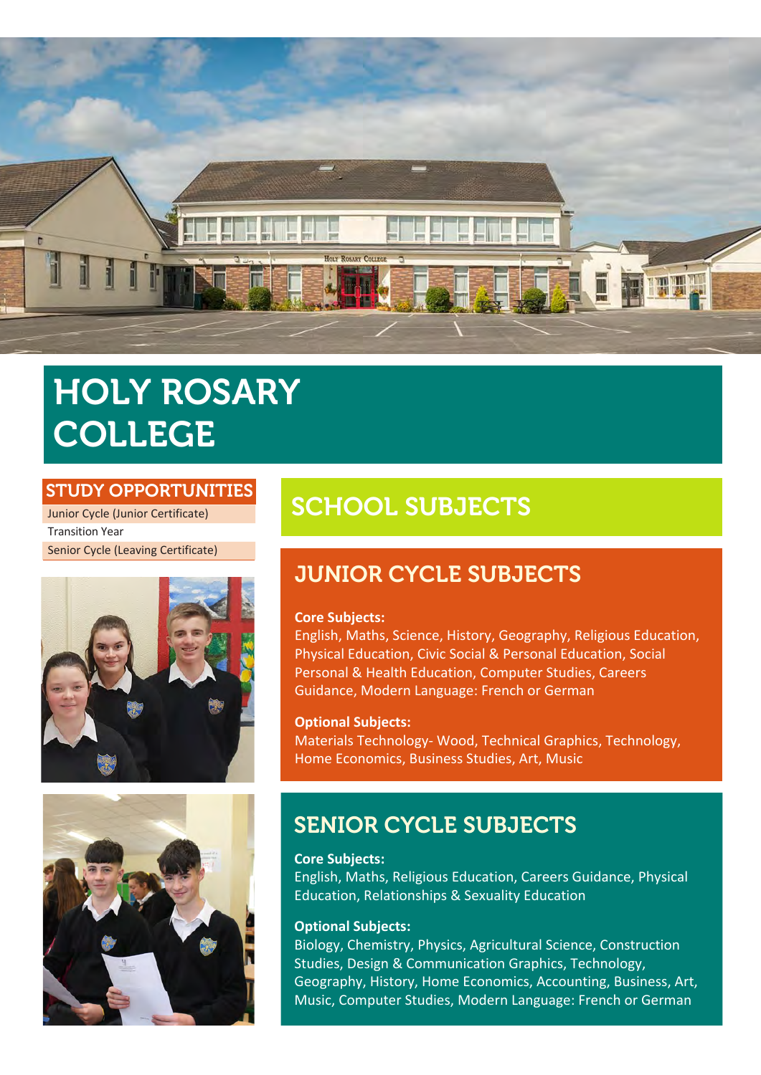

## HOLY ROSARY COLLEGE

#### STUDY OPPORTUNITIES

Junior Cycle (Junior Certificate) Transition Year Senior Cycle (Leaving Certificate)





## SCHOOL SUBJECTS

## JUNIOR CYCLE SUBJECTS

#### **Core Subjects:**

English, Maths, Science, History, Geography, Religious Education, Physical Education, Civic Social & Personal Education, Social Personal & Health Education, Computer Studies, Careers Guidance, Modern Language: French or German

#### **Optional Subjects:**

Materials Technology- Wood, Technical Graphics, Technology, Home Economics, Business Studies, Art, Music

## SENIOR CYCLE SUBJECTS

#### **Core Subjects:**

English, Maths, Religious Education, Careers Guidance, Physical Education, Relationships & Sexuality Education

#### **Optional Subjects:**

Biology, Chemistry, Physics, Agricultural Science, Construction Studies, Design & Communication Graphics, Technology, Geography, History, Home Economics, Accounting, Business, Art, Music, Computer Studies, Modern Language: French or German